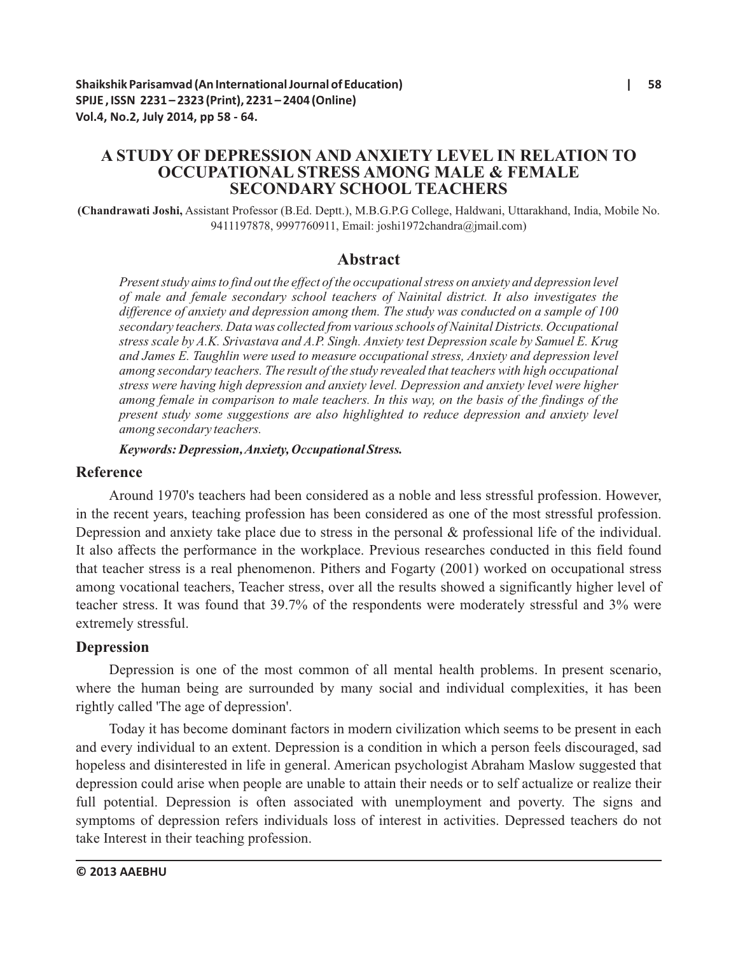# **A STUDY OF DEPRESSION AND ANXIETY LEVEL IN RELATION TO OCCUPATIONAL STRESS AMONG MALE & FEMALE SECONDARY SCHOOL TEACHERS**

**(Chandrawati Joshi,** Assistant Professor (B.Ed. Deptt.), M.B.G.P.G College, Haldwani, Uttarakhand, India, Mobile No. 9411197878, 9997760911, Email: joshi1972chandra@jmail.com)

### **Abstract**

*Present study aims to find out the effect of the occupational stress on anxiety and depression level of male and female secondary school teachers of Nainital district. It also investigates the difference of anxiety and depression among them. The study was conducted on a sample of 100 secondary teachers. Data was collected from various schools of Nainital Districts. Occupational stress scale by A.K. Srivastava and A.P. Singh. Anxiety test Depression scale by Samuel E. Krug and James E. Taughlin were used to measure occupational stress, Anxiety and depression level among secondary teachers. The result of the study revealed that teachers with high occupational stress were having high depression and anxiety level. Depression and anxiety level were higher among female in comparison to male teachers. In this way, on the basis of the findings of the present study some suggestions are also highlighted to reduce depression and anxiety level among secondary teachers.*

#### *Keywords: Depression, Anxiety, Occupational Stress.*

#### **Reference**

Around 1970's teachers had been considered as a noble and less stressful profession. However, in the recent years, teaching profession has been considered as one of the most stressful profession. Depression and anxiety take place due to stress in the personal & professional life of the individual. It also affects the performance in the workplace. Previous researches conducted in this field found that teacher stress is a real phenomenon. Pithers and Fogarty (2001) worked on occupational stress among vocational teachers, Teacher stress, over all the results showed a significantly higher level of teacher stress. It was found that 39.7% of the respondents were moderately stressful and 3% were extremely stressful.

#### **Depression**

Depression is one of the most common of all mental health problems. In present scenario, where the human being are surrounded by many social and individual complexities, it has been rightly called 'The age of depression'.

Today it has become dominant factors in modern civilization which seems to be present in each and every individual to an extent. Depression is a condition in which a person feels discouraged, sad hopeless and disinterested in life in general. American psychologist Abraham Maslow suggested that depression could arise when people are unable to attain their needs or to self actualize or realize their full potential. Depression is often associated with unemployment and poverty. The signs and symptoms of depression refers individuals loss of interest in activities. Depressed teachers do not take Interest in their teaching profession.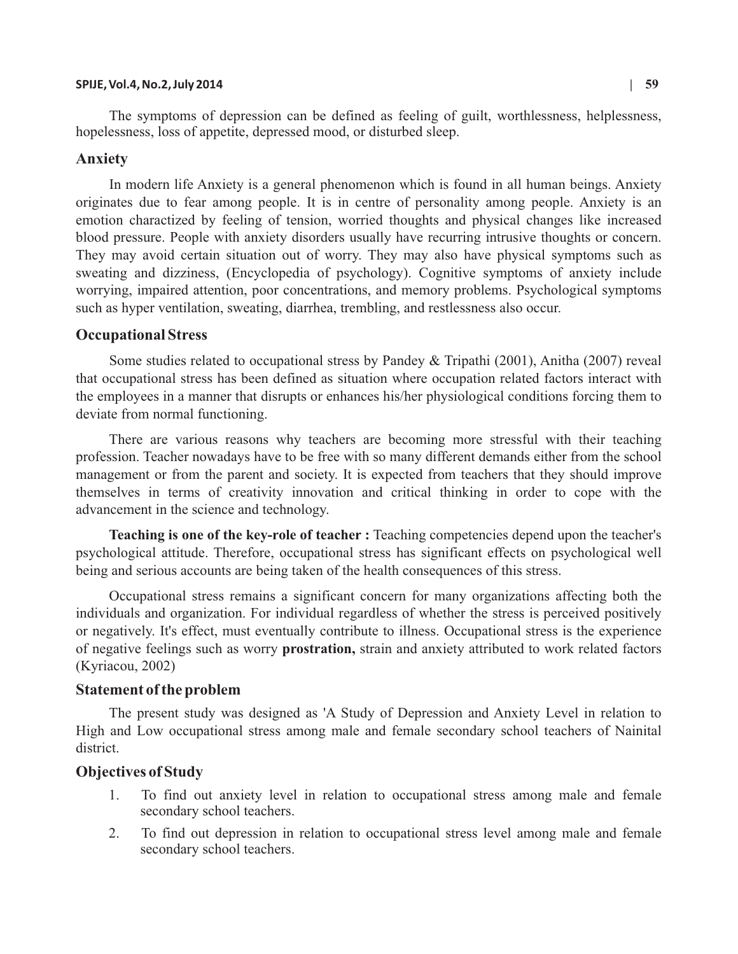#### **SPIJE, Vol.4, No.2, July 2014 | 59**

The symptoms of depression can be defined as feeling of guilt, worthlessness, helplessness, hopelessness, loss of appetite, depressed mood, or disturbed sleep.

### **Anxiety**

In modern life Anxiety is a general phenomenon which is found in all human beings. Anxiety originates due to fear among people. It is in centre of personality among people. Anxiety is an emotion charactized by feeling of tension, worried thoughts and physical changes like increased blood pressure. People with anxiety disorders usually have recurring intrusive thoughts or concern. They may avoid certain situation out of worry. They may also have physical symptoms such as sweating and dizziness, (Encyclopedia of psychology). Cognitive symptoms of anxiety include worrying, impaired attention, poor concentrations, and memory problems. Psychological symptoms such as hyper ventilation, sweating, diarrhea, trembling, and restlessness also occur.

### **Occupational Stress**

Some studies related to occupational stress by Pandey & Tripathi (2001), Anitha (2007) reveal that occupational stress has been defined as situation where occupation related factors interact with the employees in a manner that disrupts or enhances his/her physiological conditions forcing them to deviate from normal functioning.

There are various reasons why teachers are becoming more stressful with their teaching profession. Teacher nowadays have to be free with so many different demands either from the school management or from the parent and society. It is expected from teachers that they should improve themselves in terms of creativity innovation and critical thinking in order to cope with the advancement in the science and technology.

**Teaching is one of the key-role of teacher :** Teaching competencies depend upon the teacher's psychological attitude. Therefore, occupational stress has significant effects on psychological well being and serious accounts are being taken of the health consequences of this stress.

Occupational stress remains a significant concern for many organizations affecting both the individuals and organization. For individual regardless of whether the stress is perceived positively or negatively. It's effect, must eventually contribute to illness. Occupational stress is the experience of negative feelings such as worry **prostration,** strain and anxiety attributed to work related factors (Kyriacou, 2002)

#### **Statement of the problem**

The present study was designed as 'A Study of Depression and Anxiety Level in relation to High and Low occupational stress among male and female secondary school teachers of Nainital district.

### **Objectives of Study**

- 1. To find out anxiety level in relation to occupational stress among male and female secondary school teachers.
- 2. To find out depression in relation to occupational stress level among male and female secondary school teachers.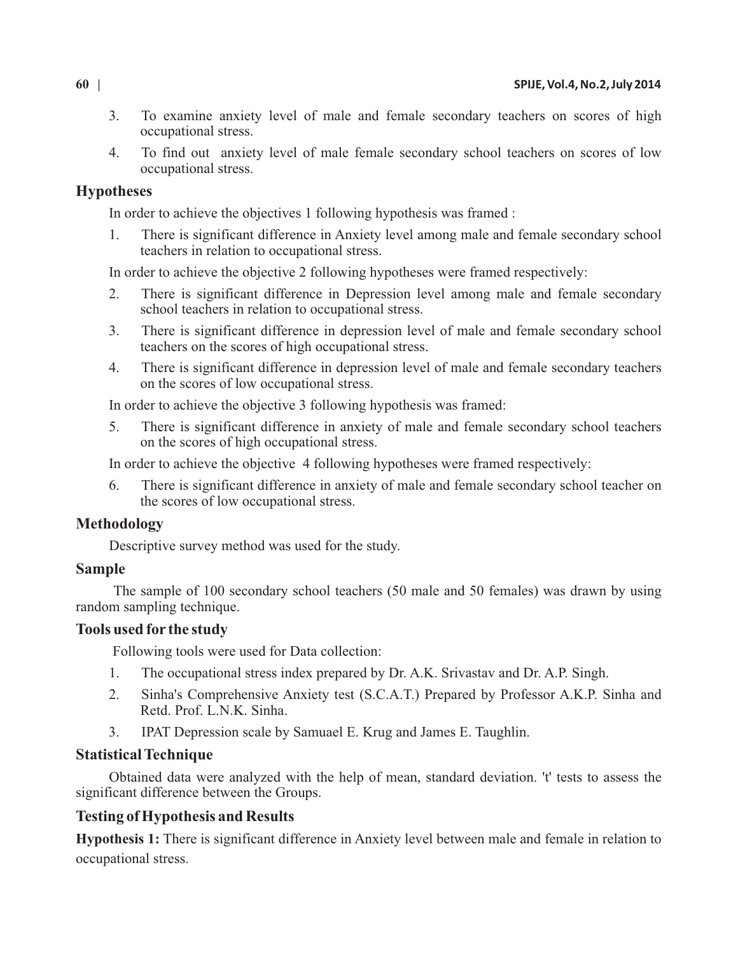- 3. To examine anxiety level of male and female secondary teachers on scores of high occupational stress.
- 4. To find out anxiety level of male female secondary school teachers on scores of low occupational stress.

## **Hypotheses**

In order to achieve the objectives 1 following hypothesis was framed :

1. There is significant difference in Anxiety level among male and female secondary school teachers in relation to occupational stress.

In order to achieve the objective 2 following hypotheses were framed respectively:

- 2. There is significant difference in Depression level among male and female secondary school teachers in relation to occupational stress.
- 3. There is significant difference in depression level of male and female secondary school teachers on the scores of high occupational stress.
- 4. There is significant difference in depression level of male and female secondary teachers on the scores of low occupational stress.

In order to achieve the objective 3 following hypothesis was framed:

5. There is significant difference in anxiety of male and female secondary school teachers on the scores of high occupational stress.

In order to achieve the objective 4 following hypotheses were framed respectively:

6. There is significant difference in anxiety of male and female secondary school teacher on the scores of low occupational stress.

# **Methodology**

Descriptive survey method was used for the study.

# **Sample**

The sample of 100 secondary school teachers (50 male and 50 females) was drawn by using random sampling technique.

# **Tools used for the study**

Following tools were used for Data collection:

- 1. The occupational stress index prepared by Dr. A.K. Srivastav and Dr. A.P. Singh.
- 2. Sinha's Comprehensive Anxiety test (S.C.A.T.) Prepared by Professor A.K.P. Sinha and Retd. Prof. L.N.K. Sinha.
- 3. IPAT Depression scale by Samuael E. Krug and James E. Taughlin.

# **Statistical Technique**

Obtained data were analyzed with the help of mean, standard deviation. 't' tests to assess the significant difference between the Groups.

# **Testing of Hypothesis and Results**

**Hypothesis 1:** There is significant difference in Anxiety level between male and female in relation to occupational stress.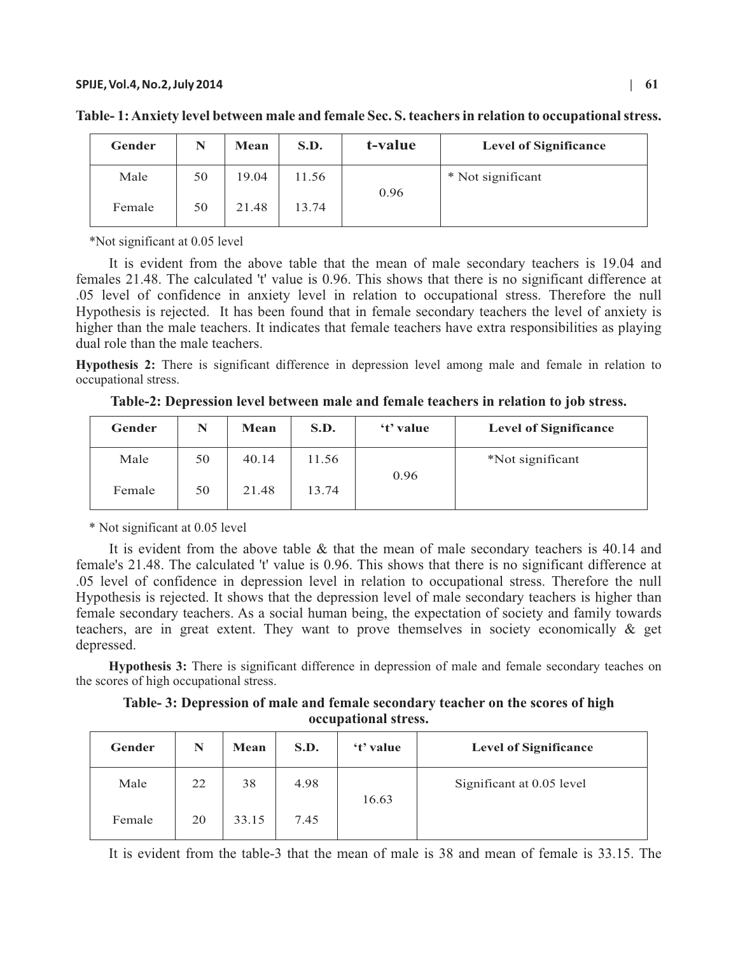| Gender |    | Mean  | S.D.  | t-value | <b>Level of Significance</b> |
|--------|----|-------|-------|---------|------------------------------|
| Male   | 50 | 19.04 | 11.56 | 0.96    | * Not significant            |
| Female | 50 | 21.48 | 13.74 |         |                              |

**Table- 1: Anxiety level between male and female Sec. S. teachers in relation to occupational stress.**

\*Not significant at 0.05 level

It is evident from the above table that the mean of male secondary teachers is 19.04 and females 21.48. The calculated 't' value is 0.96. This shows that there is no significant difference at .05 level of confidence in anxiety level in relation to occupational stress. Therefore the null Hypothesis is rejected. It has been found that in female secondary teachers the level of anxiety is higher than the male teachers. It indicates that female teachers have extra responsibilities as playing dual role than the male teachers.

**Hypothesis 2:** There is significant difference in depression level among male and female in relation to occupational stress.

**Table-2: Depression level between male and female teachers in relation to job stress.**

| <b>Gender</b> | N  | Mean  | S.D.  | 't' value | <b>Level of Significance</b> |
|---------------|----|-------|-------|-----------|------------------------------|
| Male          | 50 | 40.14 | 11.56 |           | *Not significant             |
| Female        | 50 | 21.48 | 13.74 | 0.96      |                              |

\* Not significant at 0.05 level

It is evident from the above table & that the mean of male secondary teachers is 40.14 and female's 21.48. The calculated 't' value is 0.96. This shows that there is no significant difference at .05 level of confidence in depression level in relation to occupational stress. Therefore the null Hypothesis is rejected. It shows that the depression level of male secondary teachers is higher than female secondary teachers. As a social human being, the expectation of society and family towards teachers, are in great extent. They want to prove themselves in society economically & get depressed.

**Hypothesis 3:** There is significant difference in depression of male and female secondary teaches on the scores of high occupational stress.

**Table- 3: Depression of male and female secondary teacher on the scores of high occupational stress.**

| Gender | N  | Mean  | S.D. | 't' value | <b>Level of Significance</b> |
|--------|----|-------|------|-----------|------------------------------|
| Male   | 22 | 38    | 4.98 | 16.63     | Significant at 0.05 level    |
| Female | 20 | 33.15 | 7.45 |           |                              |

It is evident from the table-3 that the mean of male is 38 and mean of female is 33.15. The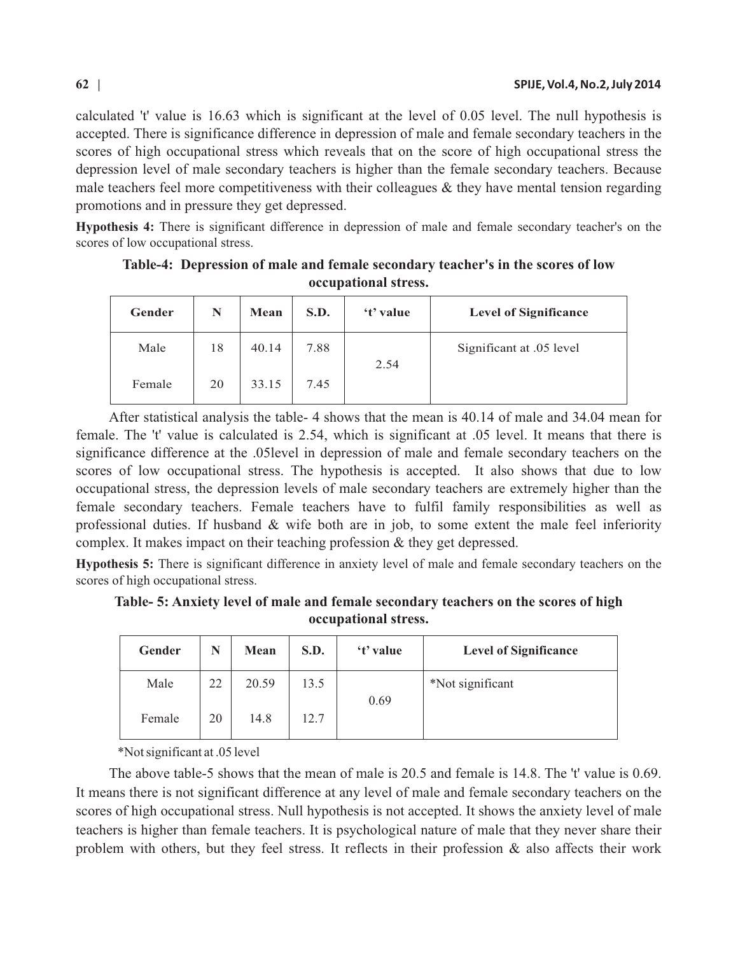calculated 't' value is 16.63 which is significant at the level of 0.05 level. The null hypothesis is accepted. There is significance difference in depression of male and female secondary teachers in the scores of high occupational stress which reveals that on the score of high occupational stress the depression level of male secondary teachers is higher than the female secondary teachers. Because male teachers feel more competitiveness with their colleagues  $\&$  they have mental tension regarding promotions and in pressure they get depressed.

**Hypothesis 4:** There is significant difference in depression of male and female secondary teacher's on the scores of low occupational stress.

| Gender | N  | Mean  | S.D. | 't' value | <b>Level of Significance</b> |
|--------|----|-------|------|-----------|------------------------------|
| Male   | 18 | 40.14 | 7.88 | 2.54      | Significant at .05 level     |
| Female | 20 | 33.15 | 7.45 |           |                              |

**Table-4: Depression of male and female secondary teacher's in the scores of low occupational stress.**

After statistical analysis the table- 4 shows that the mean is 40.14 of male and 34.04 mean for female. The 't' value is calculated is 2.54, which is significant at .05 level. It means that there is significance difference at the .05level in depression of male and female secondary teachers on the scores of low occupational stress. The hypothesis is accepted. It also shows that due to low occupational stress, the depression levels of male secondary teachers are extremely higher than the female secondary teachers. Female teachers have to fulfil family responsibilities as well as professional duties. If husband  $\&$  wife both are in job, to some extent the male feel inferiority complex. It makes impact on their teaching profession & they get depressed.

**Hypothesis 5:** There is significant difference in anxiety level of male and female secondary teachers on the scores of high occupational stress.

**Table- 5: Anxiety level of male and female secondary teachers on the scores of high occupational stress.**

| Gender | N  | Mean  | S.D. | 't' value | <b>Level of Significance</b> |
|--------|----|-------|------|-----------|------------------------------|
| Male   | 22 | 20.59 | 13.5 |           | *Not significant             |
| Female | 20 | 14.8  | 12.7 | 0.69      |                              |

\*Not significant at .05 level

The above table-5 shows that the mean of male is 20.5 and female is 14.8. The 't' value is 0.69. It means there is not significant difference at any level of male and female secondary teachers on the scores of high occupational stress. Null hypothesis is not accepted. It shows the anxiety level of male teachers is higher than female teachers. It is psychological nature of male that they never share their problem with others, but they feel stress. It reflects in their profession & also affects their work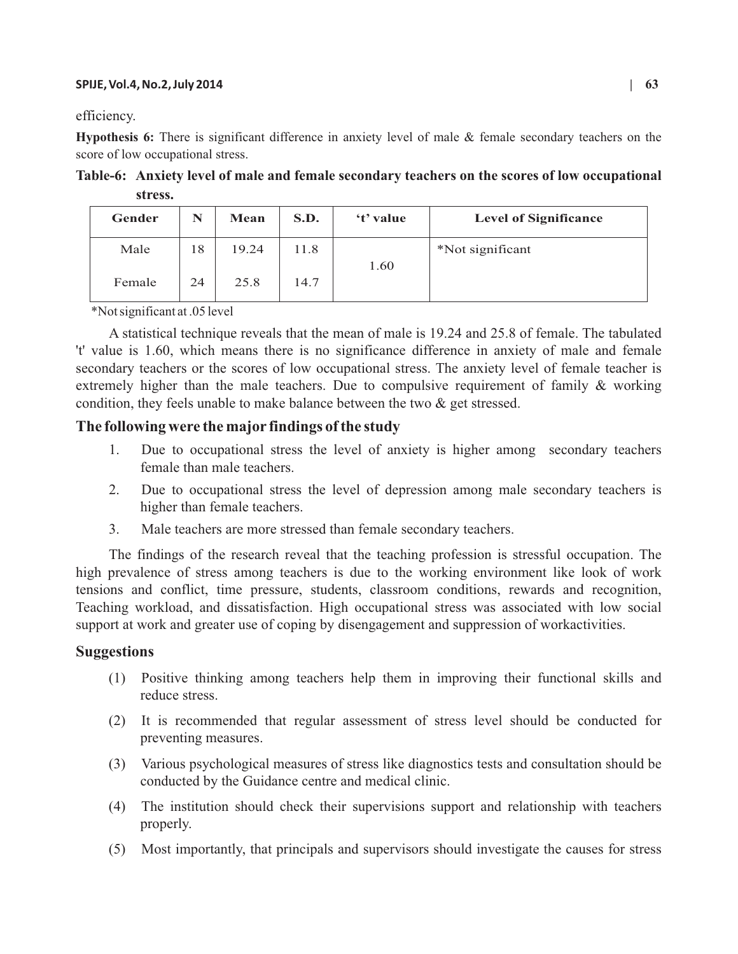#### **SPIJE, Vol.4, No.2, July 2014 | 63**

efficiency.

**Hypothesis 6:** There is significant difference in anxiety level of male & female secondary teachers on the score of low occupational stress.

**Table-6: Anxiety level of male and female secondary teachers on the scores of low occupational stress.**

| Gender | N  | Mean  | S.D. | 't' value | <b>Level of Significance</b> |
|--------|----|-------|------|-----------|------------------------------|
| Male   | 18 | 19.24 | 11.8 |           | *Not significant             |
| Female | 24 | 25.8  | 14.7 | 1.60      |                              |

\*Not significant at .05 level

A statistical technique reveals that the mean of male is 19.24 and 25.8 of female. The tabulated 't' value is 1.60, which means there is no significance difference in anxiety of male and female secondary teachers or the scores of low occupational stress. The anxiety level of female teacher is extremely higher than the male teachers. Due to compulsive requirement of family & working condition, they feels unable to make balance between the two & get stressed.

## **The following were the major findings of the study**

- 1. Due to occupational stress the level of anxiety is higher among secondary teachers female than male teachers.
- 2. Due to occupational stress the level of depression among male secondary teachers is higher than female teachers.
- 3. Male teachers are more stressed than female secondary teachers.

The findings of the research reveal that the teaching profession is stressful occupation. The high prevalence of stress among teachers is due to the working environment like look of work tensions and conflict, time pressure, students, classroom conditions, rewards and recognition, Teaching workload, and dissatisfaction. High occupational stress was associated with low social support at work and greater use of coping by disengagement and suppression of workactivities.

### **Suggestions**

- (1) Positive thinking among teachers help them in improving their functional skills and reduce stress.
- (2) It is recommended that regular assessment of stress level should be conducted for preventing measures.
- (3) Various psychological measures of stress like diagnostics tests and consultation should be conducted by the Guidance centre and medical clinic.
- (4) The institution should check their supervisions support and relationship with teachers properly.
- (5) Most importantly, that principals and supervisors should investigate the causes for stress